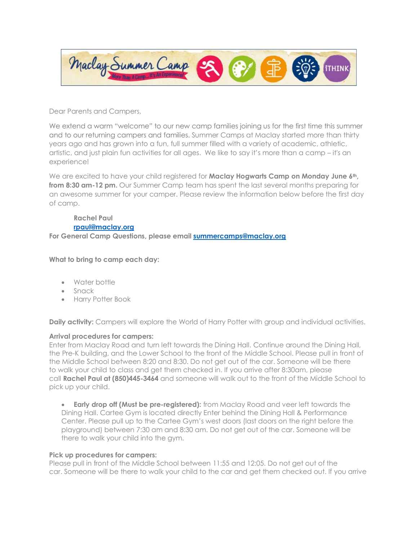

Dear Parents and Campers,

We extend a warm "welcome" to our new camp families joining us for the first time this summer and to our returning campers and families. Summer Camps at Maclay started more than thirty years ago and has grown into a fun, full summer filled with a variety of academic, athletic, artistic, and just plain fun activities for all ages. We like to say it's more than a camp – it's an experience!

We are excited to have your child registered for **Maclay Hogwarts Camp on Monday June 6th**, **from 8:30 am-12 pm.** Our Summer Camp team has spent the last several months preparing for an awesome summer for your camper. Please review the information below before the first day of camp.

**Rachel Paul [rpaul@maclay.org](mailto:rpaul@maclay.org)  For General Camp Questions, please email [summercamps@maclay.org](mailto:summercamps@maclay.org)** 

**What to bring to camp each day:**

- Water bottle
- Snack
- Harry Potter Book

**Daily activity:** Campers will explore the World of Harry Potter with group and individual activities.

## **Arrival procedures for campers:**

Enter from Maclay Road and turn left towards the Dining Hall. Continue around the Dining Hall, the Pre-K building, and the Lower School to the front of the Middle School. Please pull in front of the Middle School between 8:20 and 8:30. Do not get out of the car. Someone will be there to walk your child to class and get them checked in. If you arrive after 8:30am, please call **Rachel Paul at (850)445-3464** and someone will walk out to the front of the Middle School to pick up your child.

• **Early drop off (Must be pre-registered):** from Maclay Road and veer left towards the Dining Hall. Cartee Gym is located directly Enter behind the Dining Hall & Performance Center. Please pull up to the Cartee Gym's west doors (last doors on the right before the playground) between 7:30 am and 8:30 am. Do not get out of the car. Someone will be there to walk your child into the gym.

## **Pick up procedures for campers:**

Please pull in front of the Middle School between 11:55 and 12:05. Do not get out of the car. Someone will be there to walk your child to the car and get them checked out. If you arrive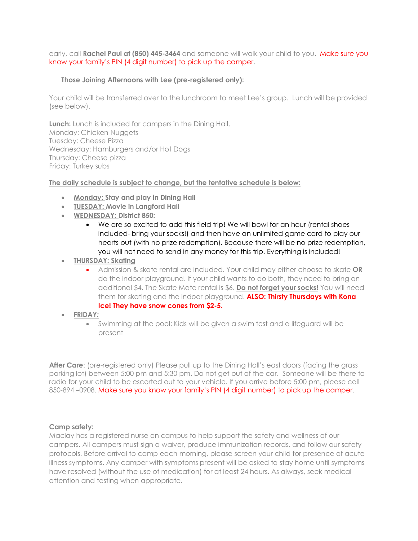early, call **Rachel Paul at (850) 445-3464** and someone will walk your child to you. Make sure you know your family's PIN (4 digit number) to pick up the camper.

## **Those Joining Afternoons with Lee (pre-registered only):**

Your child will be transferred over to the lunchroom to meet Lee's group. Lunch will be provided (see below).

**Lunch:** Lunch is included for campers in the Dining Hall. Monday: Chicken Nuggets Tuesday: Cheese Pizza Wednesday: Hamburgers and/or Hot Dogs Thursday: Cheese pizza Friday: Turkey subs

**The daily schedule is subject to change, but the tentative schedule is below:**

- **Monday: Stay and play in Dining Hall**
- **TUESDAY: Movie in Langford Hall**
- **WEDNESDAY: District 850:**
	- We are so excited to add this field trip! We will bowl for an hour (rental shoes included- bring your socks!) and then have an unlimited game card to play our hearts out (with no prize redemption). Because there will be no prize redemption, you will not need to send in any money for this trip. Everything is included!
- **THURSDAY: Skating**
	- Admission & skate rental are included. Your child may either choose to skate **OR** do the indoor playground. If your child wants to do both, they need to bring an additional \$4. The Skate Mate rental is \$6. **Do not forget your socks!** You will need them for skating and the indoor playground. **ALSO: Thirsty Thursdays with Kona Ice! They have snow cones from \$2-5.**
- **FRIDAY***:*
	- Swimming at the pool: Kids will be given a swim test and a lifeguard will be present

**After Care**: (pre-registered only) Please pull up to the Dining Hall's east doors (facing the grass parking lot) between 5:00 pm and 5:30 pm. Do not get out of the car. Someone will be there to radio for your child to be escorted out to your vehicle. If you arrive before 5:00 pm, please call 850-894 –0908. Make sure you know your family's PIN (4 digit number) to pick up the camper.

## **Camp safety:**

Maclay has a registered nurse on campus to help support the safety and wellness of our campers. All campers must sign a waiver, produce immunization records, and follow our safety protocols. Before arrival to camp each morning, please screen your child for presence of acute illness symptoms. Any camper with symptoms present will be asked to stay home until symptoms have resolved (without the use of medication) for at least 24 hours. As always, seek medical attention and testing when appropriate.